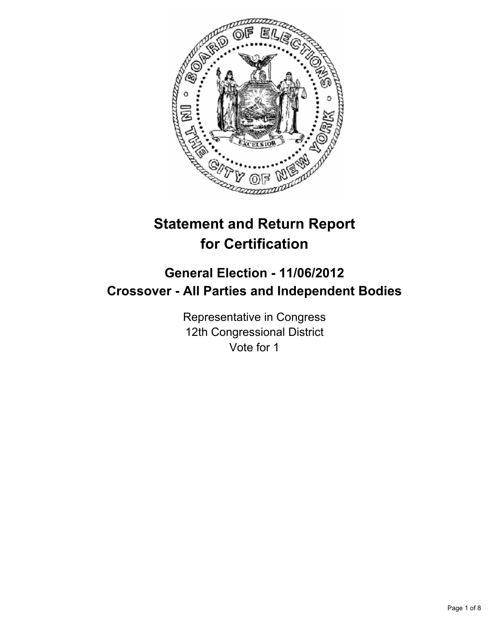

# **Statement and Return Report for Certification**

## **General Election - 11/06/2012 Crossover - All Parties and Independent Bodies**

Representative in Congress 12th Congressional District Vote for 1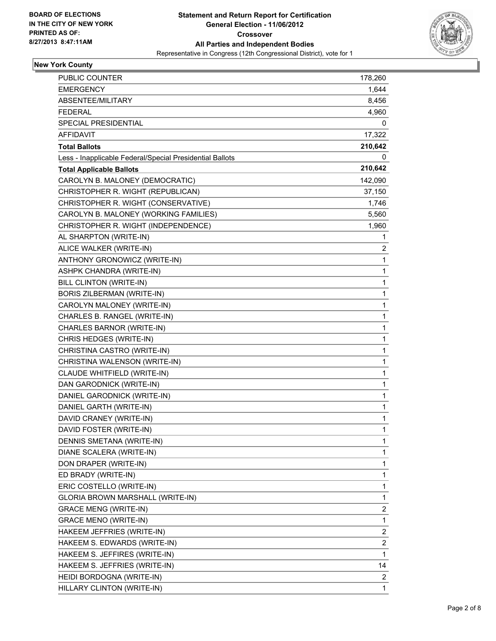

#### **New York County**

| <b>PUBLIC COUNTER</b>                                    | 178,260                 |
|----------------------------------------------------------|-------------------------|
| <b>EMERGENCY</b>                                         | 1,644                   |
| ABSENTEE/MILITARY                                        | 8,456                   |
| <b>FEDERAL</b>                                           | 4,960                   |
| SPECIAL PRESIDENTIAL                                     | 0                       |
| AFFIDAVIT                                                | 17,322                  |
| <b>Total Ballots</b>                                     | 210,642                 |
| Less - Inapplicable Federal/Special Presidential Ballots | 0                       |
| <b>Total Applicable Ballots</b>                          | 210,642                 |
| CAROLYN B. MALONEY (DEMOCRATIC)                          | 142,090                 |
| CHRISTOPHER R. WIGHT (REPUBLICAN)                        | 37,150                  |
| CHRISTOPHER R. WIGHT (CONSERVATIVE)                      | 1,746                   |
| CAROLYN B. MALONEY (WORKING FAMILIES)                    | 5,560                   |
| CHRISTOPHER R. WIGHT (INDEPENDENCE)                      | 1,960                   |
| AL SHARPTON (WRITE-IN)                                   | 1                       |
| ALICE WALKER (WRITE-IN)                                  | 2                       |
| ANTHONY GRONOWICZ (WRITE-IN)                             | 1                       |
| <b>ASHPK CHANDRA (WRITE-IN)</b>                          | 1                       |
| BILL CLINTON (WRITE-IN)                                  | 1                       |
| BORIS ZILBERMAN (WRITE-IN)                               | 1                       |
| CAROLYN MALONEY (WRITE-IN)                               | 1                       |
| CHARLES B. RANGEL (WRITE-IN)                             | 1                       |
| CHARLES BARNOR (WRITE-IN)                                | 1                       |
| CHRIS HEDGES (WRITE-IN)                                  | 1                       |
| CHRISTINA CASTRO (WRITE-IN)                              | 1                       |
| CHRISTINA WALENSON (WRITE-IN)                            | 1                       |
| CLAUDE WHITFIELD (WRITE-IN)                              | 1                       |
| DAN GARODNICK (WRITE-IN)                                 | 1                       |
| DANIEL GARODNICK (WRITE-IN)                              | 1                       |
| DANIEL GARTH (WRITE-IN)                                  | 1                       |
| DAVID CRANEY (WRITE-IN)                                  | 1                       |
| DAVID FOSTER (WRITE-IN)                                  | 1                       |
| DENNIS SMETANA (WRITE-IN)                                | 1                       |
| DIANE SCALERA (WRITE-IN)                                 | 1                       |
| DON DRAPER (WRITE-IN)                                    | 1                       |
| ED BRADY (WRITE-IN)                                      | 1                       |
| ERIC COSTELLO (WRITE-IN)                                 | 1                       |
| GLORIA BROWN MARSHALL (WRITE-IN)                         | 1                       |
| <b>GRACE MENG (WRITE-IN)</b>                             | 2                       |
| <b>GRACE MENO (WRITE-IN)</b>                             | 1                       |
| HAKEEM JEFFRIES (WRITE-IN)                               | 2                       |
| HAKEEM S. EDWARDS (WRITE-IN)                             | $\overline{\mathbf{c}}$ |
| HAKEEM S. JEFFIRES (WRITE-IN)                            | 1                       |
| HAKEEM S. JEFFRIES (WRITE-IN)                            | 14                      |
| HEIDI BORDOGNA (WRITE-IN)                                | $\overline{2}$          |
| HILLARY CLINTON (WRITE-IN)                               | 1                       |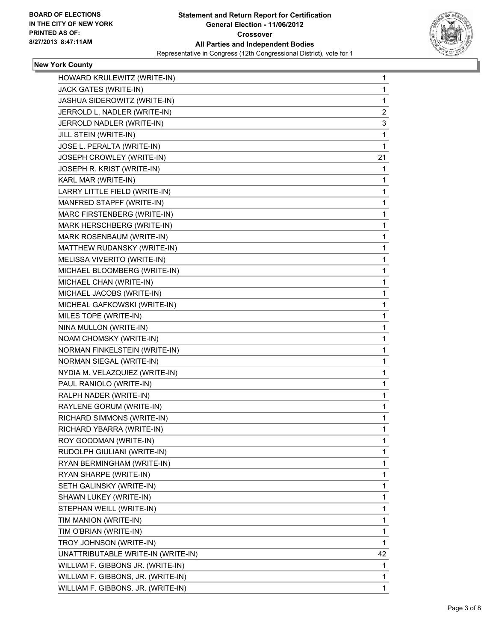

#### **New York County**

| HOWARD KRULEWITZ (WRITE-IN)        | 1              |
|------------------------------------|----------------|
| JACK GATES (WRITE-IN)              | 1              |
| JASHUA SIDEROWITZ (WRITE-IN)       | 1              |
| JERROLD L. NADLER (WRITE-IN)       | $\overline{c}$ |
| JERROLD NADLER (WRITE-IN)          | 3              |
| JILL STEIN (WRITE-IN)              | 1              |
| JOSE L. PERALTA (WRITE-IN)         | 1              |
| JOSEPH CROWLEY (WRITE-IN)          | 21             |
| JOSEPH R. KRIST (WRITE-IN)         | 1              |
| KARL MAR (WRITE-IN)                | 1              |
| LARRY LITTLE FIELD (WRITE-IN)      | 1              |
| MANFRED STAPFF (WRITE-IN)          | 1              |
| MARC FIRSTENBERG (WRITE-IN)        | 1              |
| MARK HERSCHBERG (WRITE-IN)         | 1              |
| MARK ROSENBAUM (WRITE-IN)          | 1              |
| MATTHEW RUDANSKY (WRITE-IN)        | $\mathbf{1}$   |
| MELISSA VIVERITO (WRITE-IN)        | 1              |
| MICHAEL BLOOMBERG (WRITE-IN)       | 1              |
| MICHAEL CHAN (WRITE-IN)            | 1              |
| MICHAEL JACOBS (WRITE-IN)          | 1              |
| MICHEAL GAFKOWSKI (WRITE-IN)       | 1              |
| MILES TOPE (WRITE-IN)              | $\mathbf{1}$   |
| NINA MULLON (WRITE-IN)             | 1              |
| NOAM CHOMSKY (WRITE-IN)            | 1              |
| NORMAN FINKELSTEIN (WRITE-IN)      | 1              |
| NORMAN SIEGAL (WRITE-IN)           | 1              |
| NYDIA M. VELAZQUIEZ (WRITE-IN)     | 1              |
| PAUL RANIOLO (WRITE-IN)            | $\mathbf{1}$   |
| RALPH NADER (WRITE-IN)             | 1              |
| RAYLENE GORUM (WRITE-IN)           | 1              |
| RICHARD SIMMONS (WRITE-IN)         | 1              |
| RICHARD YBARRA (WRITE-IN)          | 1              |
| ROY GOODMAN (WRITE-IN)             | 1              |
| RUDOLPH GIULIANI (WRITE-IN)        | 1              |
| RYAN BERMINGHAM (WRITE-IN)         | 1              |
| RYAN SHARPE (WRITE-IN)             | 1              |
| SETH GALINSKY (WRITE-IN)           | 1              |
| SHAWN LUKEY (WRITE-IN)             | 1              |
| STEPHAN WEILL (WRITE-IN)           | 1              |
| TIM MANION (WRITE-IN)              | 1              |
| TIM O'BRIAN (WRITE-IN)             | 1              |
| TROY JOHNSON (WRITE-IN)            | 1              |
| UNATTRIBUTABLE WRITE-IN (WRITE-IN) | 42             |
| WILLIAM F. GIBBONS JR. (WRITE-IN)  | 1              |
| WILLIAM F. GIBBONS, JR. (WRITE-IN) | 1              |
| WILLIAM F. GIBBONS. JR. (WRITE-IN) | 1              |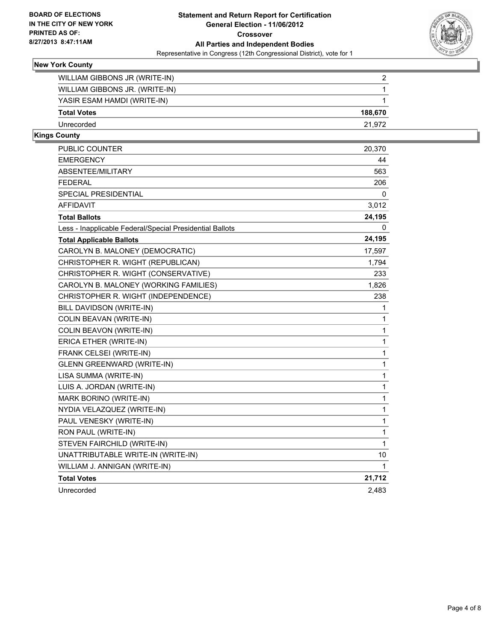

#### **New York County**

| WILLIAM GIBBONS JR (WRITE-IN)  | 2       |
|--------------------------------|---------|
| WILLIAM GIBBONS JR. (WRITE-IN) |         |
| YASIR ESAM HAMDI (WRITE-IN)    |         |
| <b>Total Votes</b>             | 188.670 |
| Unrecorded                     | 21.972  |
|                                |         |

#### **Kings County**

| <b>PUBLIC COUNTER</b>                                    | 20,370 |
|----------------------------------------------------------|--------|
| <b>EMERGENCY</b>                                         | 44     |
| ABSENTEE/MILITARY                                        | 563    |
| <b>FEDERAL</b>                                           | 206    |
| SPECIAL PRESIDENTIAL                                     | 0      |
| <b>AFFIDAVIT</b>                                         | 3,012  |
| <b>Total Ballots</b>                                     | 24,195 |
| Less - Inapplicable Federal/Special Presidential Ballots | 0      |
| <b>Total Applicable Ballots</b>                          | 24,195 |
| CAROLYN B. MALONEY (DEMOCRATIC)                          | 17,597 |
| CHRISTOPHER R. WIGHT (REPUBLICAN)                        | 1,794  |
| CHRISTOPHER R. WIGHT (CONSERVATIVE)                      | 233    |
| CAROLYN B. MALONEY (WORKING FAMILIES)                    | 1,826  |
| CHRISTOPHER R. WIGHT (INDEPENDENCE)                      | 238    |
| BILL DAVIDSON (WRITE-IN)                                 | 1      |
| COLIN BEAVAN (WRITE-IN)                                  | 1      |
| COLIN BEAVON (WRITE-IN)                                  | 1      |
| ERICA ETHER (WRITE-IN)                                   | 1      |
| FRANK CELSEI (WRITE-IN)                                  | 1      |
| <b>GLENN GREENWARD (WRITE-IN)</b>                        | 1      |
| LISA SUMMA (WRITE-IN)                                    | 1      |
| LUIS A. JORDAN (WRITE-IN)                                | 1      |
| MARK BORINO (WRITE-IN)                                   | 1      |
| NYDIA VELAZQUEZ (WRITE-IN)                               | 1      |
| PAUL VENESKY (WRITE-IN)                                  | 1      |
| RON PAUL (WRITE-IN)                                      | 1      |
| STEVEN FAIRCHILD (WRITE-IN)                              | 1      |
| UNATTRIBUTABLE WRITE-IN (WRITE-IN)                       | 10     |
| WILLIAM J. ANNIGAN (WRITE-IN)                            | 1      |
| <b>Total Votes</b>                                       | 21,712 |
| Unrecorded                                               | 2,483  |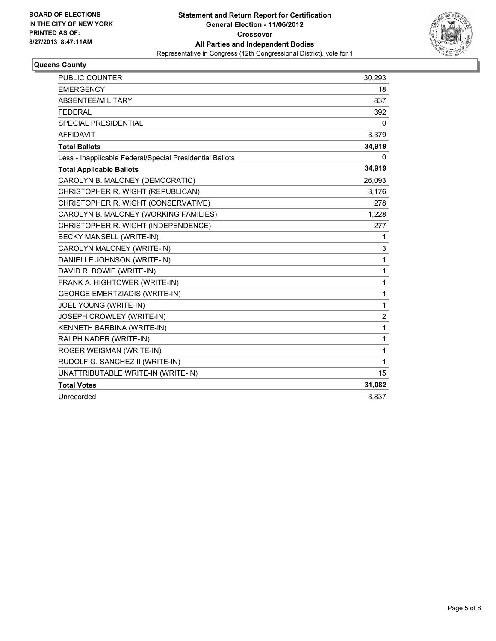

### **Queens County**

| <b>PUBLIC COUNTER</b>                                    | 30,293         |
|----------------------------------------------------------|----------------|
| <b>EMERGENCY</b>                                         | 18             |
| ABSENTEE/MILITARY                                        | 837            |
| <b>FEDERAL</b>                                           | 392            |
| SPECIAL PRESIDENTIAL                                     | 0              |
| <b>AFFIDAVIT</b>                                         | 3,379          |
| <b>Total Ballots</b>                                     | 34,919         |
| Less - Inapplicable Federal/Special Presidential Ballots | 0              |
| <b>Total Applicable Ballots</b>                          | 34,919         |
| CAROLYN B. MALONEY (DEMOCRATIC)                          | 26,093         |
| CHRISTOPHER R. WIGHT (REPUBLICAN)                        | 3,176          |
| CHRISTOPHER R. WIGHT (CONSERVATIVE)                      | 278            |
| CAROLYN B. MALONEY (WORKING FAMILIES)                    | 1,228          |
| CHRISTOPHER R. WIGHT (INDEPENDENCE)                      | 277            |
| BECKY MANSELL (WRITE-IN)                                 | 1              |
| CAROLYN MALONEY (WRITE-IN)                               | 3              |
| DANIELLE JOHNSON (WRITE-IN)                              | 1              |
| DAVID R. BOWIE (WRITE-IN)                                | 1              |
| FRANK A. HIGHTOWER (WRITE-IN)                            | 1              |
| <b>GEORGE EMERTZIADIS (WRITE-IN)</b>                     | 1              |
| JOEL YOUNG (WRITE-IN)                                    | 1              |
| JOSEPH CROWLEY (WRITE-IN)                                | $\overline{c}$ |
| KENNETH BARBINA (WRITE-IN)                               | 1              |
| RALPH NADER (WRITE-IN)                                   | 1              |
| ROGER WEISMAN (WRITE-IN)                                 | 1              |
| RUDOLF G. SANCHEZ II (WRITE-IN)                          | 1              |
| UNATTRIBUTABLE WRITE-IN (WRITE-IN)                       | 15             |
| <b>Total Votes</b>                                       | 31,082         |
| Unrecorded                                               | 3,837          |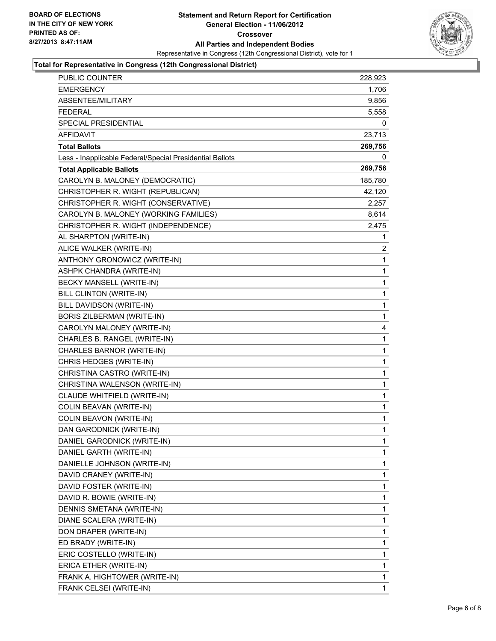

#### **Total for Representative in Congress (12th Congressional District)**

| PUBLIC COUNTER                                           | 228,923      |
|----------------------------------------------------------|--------------|
| <b>EMERGENCY</b>                                         | 1,706        |
| ABSENTEE/MILITARY                                        | 9,856        |
| <b>FEDERAL</b>                                           | 5,558        |
| SPECIAL PRESIDENTIAL                                     | 0            |
| <b>AFFIDAVIT</b>                                         | 23,713       |
| <b>Total Ballots</b>                                     | 269,756      |
| Less - Inapplicable Federal/Special Presidential Ballots | 0            |
| <b>Total Applicable Ballots</b>                          | 269,756      |
| CAROLYN B. MALONEY (DEMOCRATIC)                          | 185,780      |
| CHRISTOPHER R. WIGHT (REPUBLICAN)                        | 42,120       |
| CHRISTOPHER R. WIGHT (CONSERVATIVE)                      | 2,257        |
| CAROLYN B. MALONEY (WORKING FAMILIES)                    | 8,614        |
| CHRISTOPHER R. WIGHT (INDEPENDENCE)                      | 2,475        |
| AL SHARPTON (WRITE-IN)                                   | 1            |
| ALICE WALKER (WRITE-IN)                                  | 2            |
| ANTHONY GRONOWICZ (WRITE-IN)                             | 1            |
| ASHPK CHANDRA (WRITE-IN)                                 | 1            |
| BECKY MANSELL (WRITE-IN)                                 | 1            |
| <b>BILL CLINTON (WRITE-IN)</b>                           | 1            |
| BILL DAVIDSON (WRITE-IN)                                 | 1            |
| <b>BORIS ZILBERMAN (WRITE-IN)</b>                        | $\mathbf 1$  |
| CAROLYN MALONEY (WRITE-IN)                               | 4            |
| CHARLES B. RANGEL (WRITE-IN)                             | 1            |
| CHARLES BARNOR (WRITE-IN)                                | 1            |
| CHRIS HEDGES (WRITE-IN)                                  | 1            |
| CHRISTINA CASTRO (WRITE-IN)                              | 1            |
| CHRISTINA WALENSON (WRITE-IN)                            | 1            |
| CLAUDE WHITFIELD (WRITE-IN)                              | 1            |
| COLIN BEAVAN (WRITE-IN)                                  | $\mathbf 1$  |
| COLIN BEAVON (WRITE-IN)                                  | $\mathbf 1$  |
| DAN GARODNICK (WRITE-IN)                                 | $\mathbf{1}$ |
| DANIEL GARODNICK (WRITE-IN)                              | 1            |
| DANIEL GARTH (WRITE-IN)                                  | 1            |
| DANIELLE JOHNSON (WRITE-IN)                              | 1            |
| DAVID CRANEY (WRITE-IN)                                  | 1            |
| DAVID FOSTER (WRITE-IN)                                  | 1            |
| DAVID R. BOWIE (WRITE-IN)                                | 1            |
| DENNIS SMETANA (WRITE-IN)                                | 1            |
| DIANE SCALERA (WRITE-IN)                                 | 1            |
| DON DRAPER (WRITE-IN)                                    | 1            |
| ED BRADY (WRITE-IN)                                      | 1            |
| ERIC COSTELLO (WRITE-IN)                                 | 1            |
| ERICA ETHER (WRITE-IN)                                   | 1            |
| FRANK A. HIGHTOWER (WRITE-IN)                            | 1            |
| FRANK CELSEI (WRITE-IN)                                  | 1            |
|                                                          |              |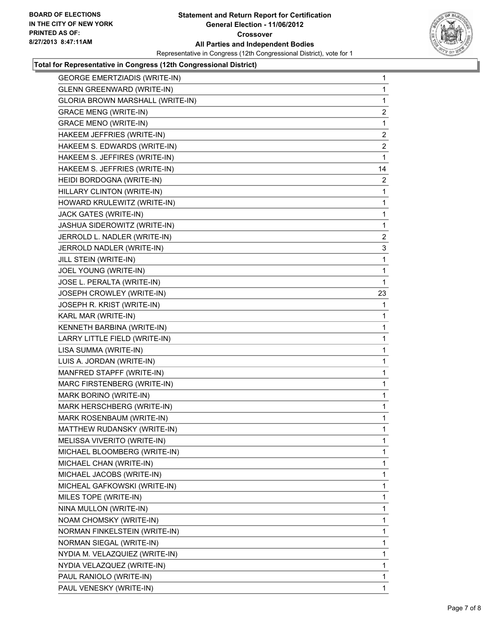

#### **Total for Representative in Congress (12th Congressional District)**

| <b>GEORGE EMERTZIADIS (WRITE-IN)</b> | $\mathbf{1}$   |
|--------------------------------------|----------------|
| <b>GLENN GREENWARD (WRITE-IN)</b>    | $\mathbf{1}$   |
| GLORIA BROWN MARSHALL (WRITE-IN)     | $\mathbf 1$    |
| <b>GRACE MENG (WRITE-IN)</b>         | $\overline{a}$ |
| <b>GRACE MENO (WRITE-IN)</b>         | 1              |
| HAKEEM JEFFRIES (WRITE-IN)           | 2              |
| HAKEEM S. EDWARDS (WRITE-IN)         | $\overline{a}$ |
| HAKEEM S. JEFFIRES (WRITE-IN)        | 1              |
| HAKEEM S. JEFFRIES (WRITE-IN)        | 14             |
| HEIDI BORDOGNA (WRITE-IN)            | $\overline{a}$ |
| HILLARY CLINTON (WRITE-IN)           | 1              |
| HOWARD KRULEWITZ (WRITE-IN)          | $\mathbf 1$    |
| JACK GATES (WRITE-IN)                | 1              |
| JASHUA SIDEROWITZ (WRITE-IN)         | 1              |
| JERROLD L. NADLER (WRITE-IN)         | 2              |
| JERROLD NADLER (WRITE-IN)            | 3              |
| JILL STEIN (WRITE-IN)                | 1              |
| JOEL YOUNG (WRITE-IN)                | $\mathbf 1$    |
| JOSE L. PERALTA (WRITE-IN)           | 1              |
| JOSEPH CROWLEY (WRITE-IN)            | 23             |
| JOSEPH R. KRIST (WRITE-IN)           | 1              |
| KARL MAR (WRITE-IN)                  | 1              |
| KENNETH BARBINA (WRITE-IN)           | 1              |
| LARRY LITTLE FIELD (WRITE-IN)        | 1              |
| LISA SUMMA (WRITE-IN)                | 1              |
| LUIS A. JORDAN (WRITE-IN)            | 1              |
| MANFRED STAPFF (WRITE-IN)            | 1              |
| MARC FIRSTENBERG (WRITE-IN)          | 1              |
| MARK BORINO (WRITE-IN)               | 1              |
| MARK HERSCHBERG (WRITE-IN)           | $\mathbf{1}$   |
| MARK ROSENBAUM (WRITE-IN)            | 1              |
| MATTHEW RUDANSKY (WRITE-IN)          | 1              |
| MELISSA VIVERITO (WRITE-IN)          | 1              |
| MICHAEL BLOOMBERG (WRITE-IN)         | 1              |
| MICHAEL CHAN (WRITE-IN)              | 1              |
| MICHAEL JACOBS (WRITE-IN)            | 1              |
| MICHEAL GAFKOWSKI (WRITE-IN)         | 1              |
| MILES TOPE (WRITE-IN)                | 1              |
| NINA MULLON (WRITE-IN)               | 1              |
| NOAM CHOMSKY (WRITE-IN)              | 1              |
| NORMAN FINKELSTEIN (WRITE-IN)        | 1              |
| NORMAN SIEGAL (WRITE-IN)             | 1              |
| NYDIA M. VELAZQUIEZ (WRITE-IN)       | 1              |
| NYDIA VELAZQUEZ (WRITE-IN)           | 1              |
| PAUL RANIOLO (WRITE-IN)              | 1              |
| PAUL VENESKY (WRITE-IN)              | 1              |